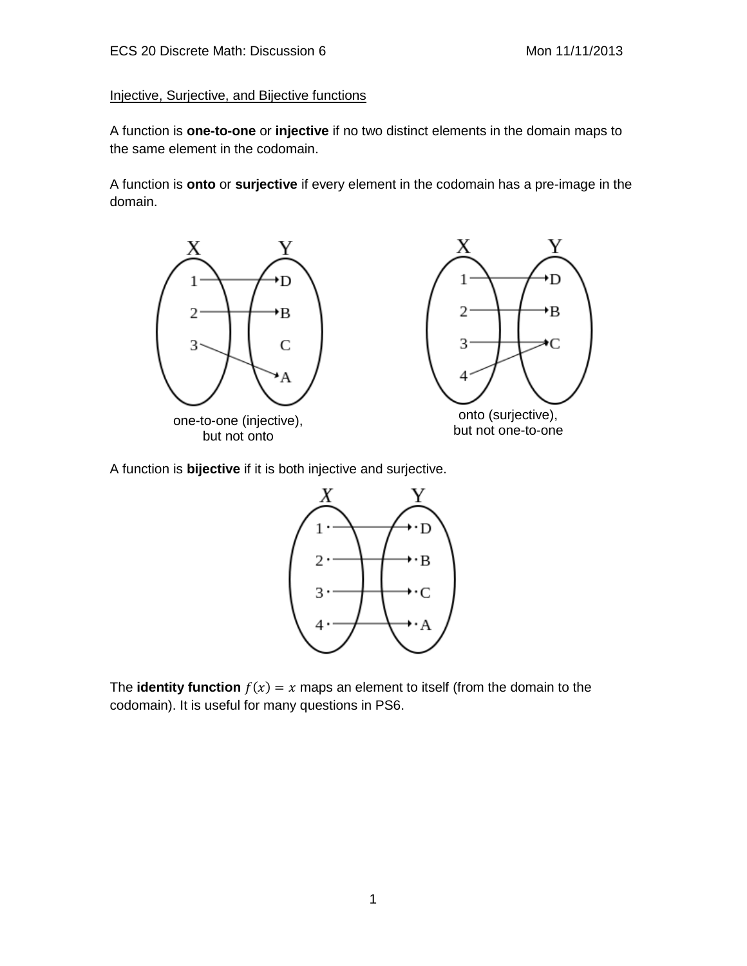## Injective, Surjective, and Bijective functions

A function is **one-to-one** or **injective** if no two distinct elements in the domain maps to the same element in the codomain.

A function is **onto** or **surjective** if every element in the codomain has a pre-image in the domain.



A function is **bijective** if it is both injective and surjective.



The **identity function**  $f(x) = x$  maps an element to itself (from the domain to the codomain). It is useful for many questions in PS6.